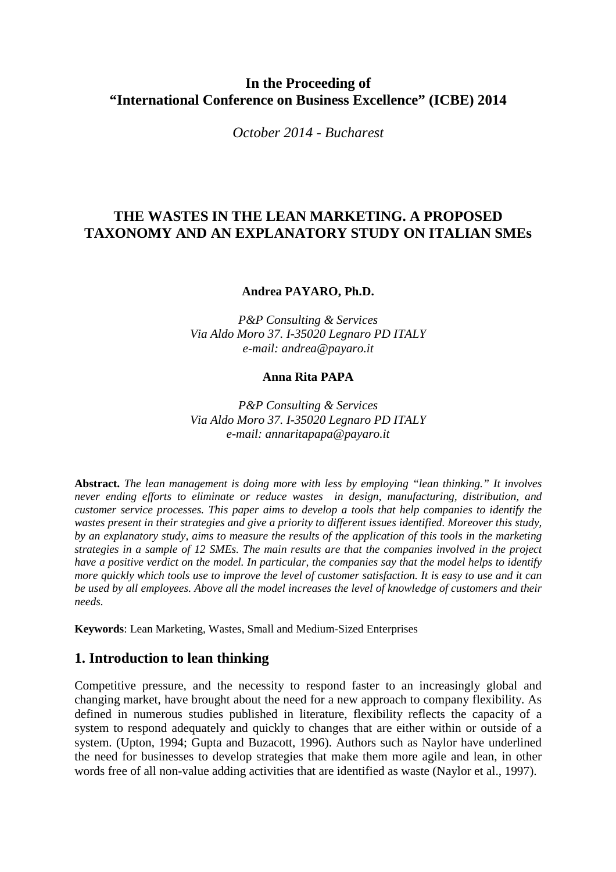## **In the Proceeding of "International Conference on Business Excellence" (ICBE) 2014**

*October 2014 - Bucharest* 

## **THE WASTES IN THE LEAN MARKETING. A PROPOSED TAXONOMY AND AN EXPLANATORY STUDY ON ITALIAN SMEs**

#### **Andrea PAYARO, Ph.D.**

*P&P Consulting & Services Via Aldo Moro 37. I-35020 Legnaro PD ITALY e-mail: andrea@payaro.it* 

#### **Anna Rita PAPA**

*P&P Consulting & Services Via Aldo Moro 37. I-35020 Legnaro PD ITALY e-mail: annaritapapa@payaro.it*

**Abstract.** *The lean management is doing more with less by employing "lean thinking." It involves never ending efforts to eliminate or reduce wastes in design, manufacturing, distribution, and customer service processes. This paper aims to develop a tools that help companies to identify the wastes present in their strategies and give a priority to different issues identified. Moreover this study, by an explanatory study, aims to measure the results of the application of this tools in the marketing strategies in a sample of 12 SMEs. The main results are that the companies involved in the project have a positive verdict on the model. In particular, the companies say that the model helps to identify more quickly which tools use to improve the level of customer satisfaction. It is easy to use and it can be used by all employees. Above all the model increases the level of knowledge of customers and their needs.* 

**Keywords**: Lean Marketing, Wastes, Small and Medium-Sized Enterprises

### **1. Introduction to lean thinking**

Competitive pressure, and the necessity to respond faster to an increasingly global and changing market, have brought about the need for a new approach to company flexibility. As defined in numerous studies published in literature, flexibility reflects the capacity of a system to respond adequately and quickly to changes that are either within or outside of a system. (Upton, 1994; Gupta and Buzacott, 1996). Authors such as Naylor have underlined the need for businesses to develop strategies that make them more agile and lean, in other words free of all non-value adding activities that are identified as waste (Naylor et al., 1997).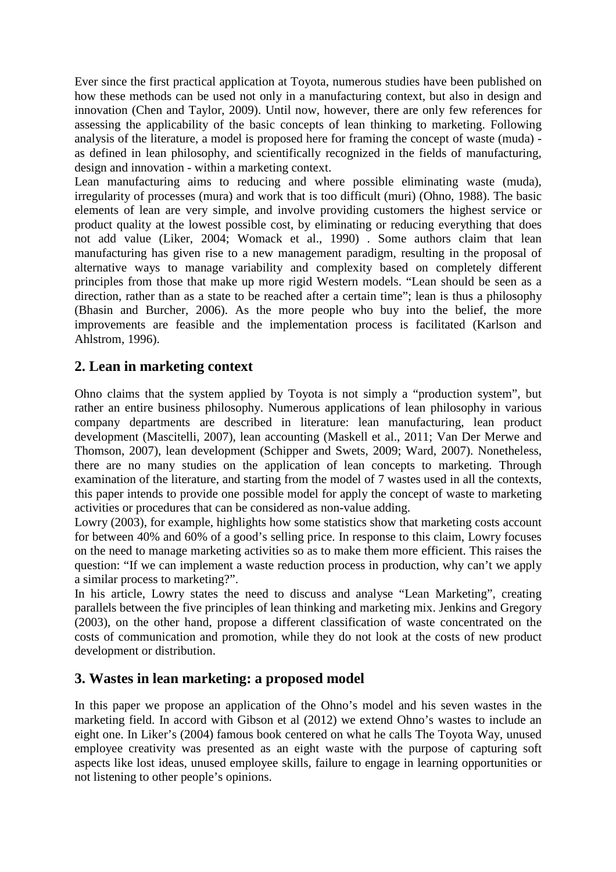Ever since the first practical application at Toyota, numerous studies have been published on how these methods can be used not only in a manufacturing context, but also in design and innovation (Chen and Taylor, 2009). Until now, however, there are only few references for assessing the applicability of the basic concepts of lean thinking to marketing. Following analysis of the literature, a model is proposed here for framing the concept of waste (muda) as defined in lean philosophy, and scientifically recognized in the fields of manufacturing, design and innovation - within a marketing context.

Lean manufacturing aims to reducing and where possible eliminating waste (muda), irregularity of processes (mura) and work that is too difficult (muri) (Ohno, 1988). The basic elements of lean are very simple, and involve providing customers the highest service or product quality at the lowest possible cost, by eliminating or reducing everything that does not add value (Liker, 2004; Womack et al., 1990) . Some authors claim that lean manufacturing has given rise to a new management paradigm, resulting in the proposal of alternative ways to manage variability and complexity based on completely different principles from those that make up more rigid Western models. "Lean should be seen as a direction, rather than as a state to be reached after a certain time"; lean is thus a philosophy (Bhasin and Burcher, 2006). As the more people who buy into the belief, the more improvements are feasible and the implementation process is facilitated (Karlson and Ahlstrom, 1996).

## **2. Lean in marketing context**

Ohno claims that the system applied by Toyota is not simply a "production system", but rather an entire business philosophy. Numerous applications of lean philosophy in various company departments are described in literature: lean manufacturing, lean product development (Mascitelli, 2007), lean accounting (Maskell et al., 2011; Van Der Merwe and Thomson, 2007), lean development (Schipper and Swets, 2009; Ward, 2007). Nonetheless, there are no many studies on the application of lean concepts to marketing. Through examination of the literature, and starting from the model of 7 wastes used in all the contexts, this paper intends to provide one possible model for apply the concept of waste to marketing activities or procedures that can be considered as non-value adding.

Lowry (2003), for example, highlights how some statistics show that marketing costs account for between 40% and 60% of a good's selling price. In response to this claim, Lowry focuses on the need to manage marketing activities so as to make them more efficient. This raises the question: "If we can implement a waste reduction process in production, why can't we apply a similar process to marketing?".

In his article, Lowry states the need to discuss and analyse "Lean Marketing", creating parallels between the five principles of lean thinking and marketing mix. Jenkins and Gregory (2003), on the other hand, propose a different classification of waste concentrated on the costs of communication and promotion, while they do not look at the costs of new product development or distribution.

## **3. Wastes in lean marketing: a proposed model**

In this paper we propose an application of the Ohno's model and his seven wastes in the marketing field. In accord with Gibson et al (2012) we extend Ohno's wastes to include an eight one. In Liker's (2004) famous book centered on what he calls The Toyota Way, unused employee creativity was presented as an eight waste with the purpose of capturing soft aspects like lost ideas, unused employee skills, failure to engage in learning opportunities or not listening to other people's opinions.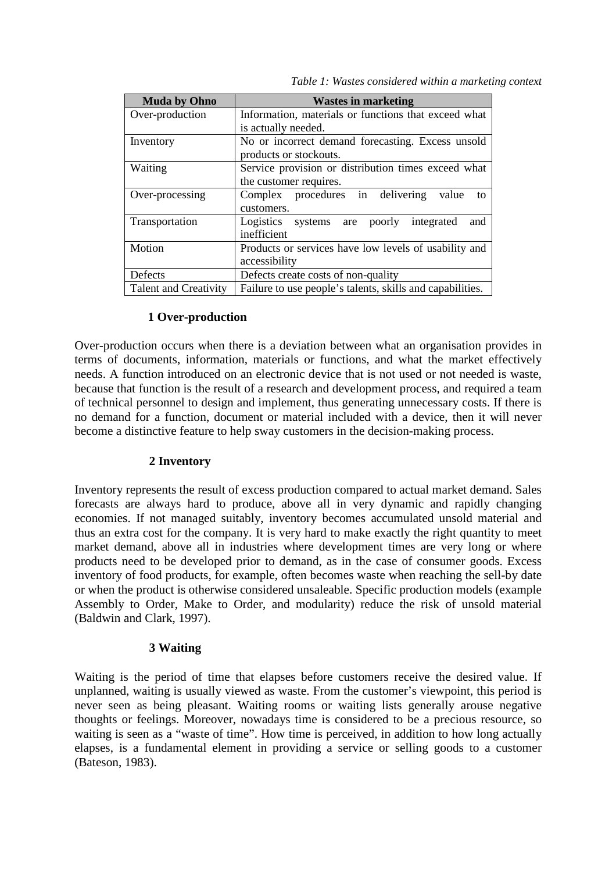| <b>Muda by Ohno</b>          | <b>Wastes in marketing</b>                                 |  |  |
|------------------------------|------------------------------------------------------------|--|--|
| Over-production              | Information, materials or functions that exceed what       |  |  |
|                              | is actually needed.                                        |  |  |
| Inventory                    | No or incorrect demand forecasting. Excess unsold          |  |  |
|                              | products or stockouts.                                     |  |  |
| Waiting                      | Service provision or distribution times exceed what        |  |  |
|                              | the customer requires.                                     |  |  |
| Over-processing              | procedures in<br>delivering<br>Complex<br>value<br>to      |  |  |
|                              | customers.                                                 |  |  |
| Transportation               | Logistics<br>integrated<br>poorly<br>and<br>systems<br>are |  |  |
|                              | inefficient                                                |  |  |
| Motion                       | Products or services have low levels of usability and      |  |  |
|                              | accessibility                                              |  |  |
| Defects                      | Defects create costs of non-quality                        |  |  |
| <b>Talent and Creativity</b> | Failure to use people's talents, skills and capabilities.  |  |  |

#### **1 Over-production**

Over-production occurs when there is a deviation between what an organisation provides in terms of documents, information, materials or functions, and what the market effectively needs. A function introduced on an electronic device that is not used or not needed is waste, because that function is the result of a research and development process, and required a team of technical personnel to design and implement, thus generating unnecessary costs. If there is no demand for a function, document or material included with a device, then it will never become a distinctive feature to help sway customers in the decision-making process.

### **2 Inventory**

Inventory represents the result of excess production compared to actual market demand. Sales forecasts are always hard to produce, above all in very dynamic and rapidly changing economies. If not managed suitably, inventory becomes accumulated unsold material and thus an extra cost for the company. It is very hard to make exactly the right quantity to meet market demand, above all in industries where development times are very long or where products need to be developed prior to demand, as in the case of consumer goods. Excess inventory of food products, for example, often becomes waste when reaching the sell-by date or when the product is otherwise considered unsaleable. Specific production models (example Assembly to Order, Make to Order, and modularity) reduce the risk of unsold material (Baldwin and Clark, 1997).

#### **3 Waiting**

Waiting is the period of time that elapses before customers receive the desired value. If unplanned, waiting is usually viewed as waste. From the customer's viewpoint, this period is never seen as being pleasant. Waiting rooms or waiting lists generally arouse negative thoughts or feelings. Moreover, nowadays time is considered to be a precious resource, so waiting is seen as a "waste of time". How time is perceived, in addition to how long actually elapses, is a fundamental element in providing a service or selling goods to a customer (Bateson, 1983).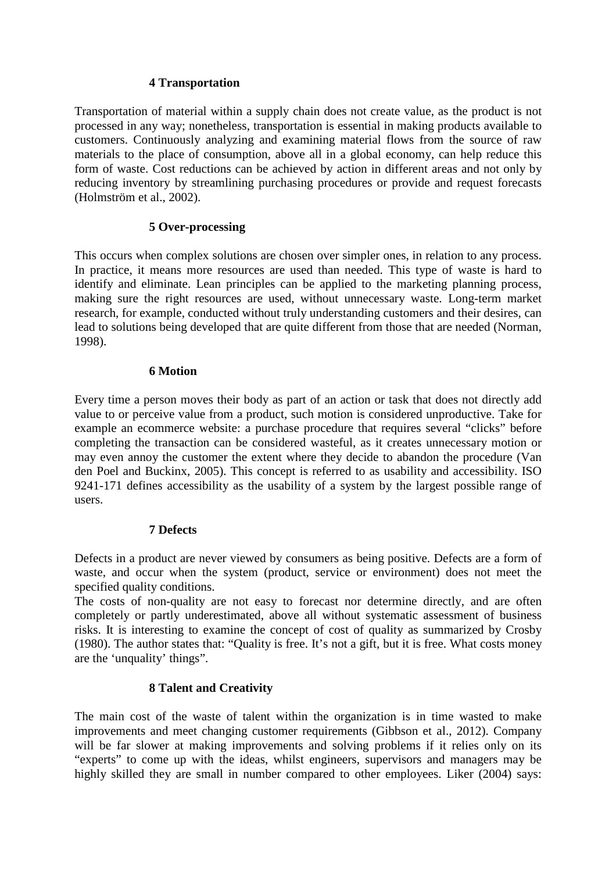### **4 Transportation**

Transportation of material within a supply chain does not create value, as the product is not processed in any way; nonetheless, transportation is essential in making products available to customers. Continuously analyzing and examining material flows from the source of raw materials to the place of consumption, above all in a global economy, can help reduce this form of waste. Cost reductions can be achieved by action in different areas and not only by reducing inventory by streamlining purchasing procedures or provide and request forecasts (Holmström et al., 2002).

### **5 Over-processing**

This occurs when complex solutions are chosen over simpler ones, in relation to any process. In practice, it means more resources are used than needed. This type of waste is hard to identify and eliminate. Lean principles can be applied to the marketing planning process, making sure the right resources are used, without unnecessary waste. Long-term market research, for example, conducted without truly understanding customers and their desires, can lead to solutions being developed that are quite different from those that are needed (Norman, 1998).

#### **6 Motion**

Every time a person moves their body as part of an action or task that does not directly add value to or perceive value from a product, such motion is considered unproductive. Take for example an ecommerce website: a purchase procedure that requires several "clicks" before completing the transaction can be considered wasteful, as it creates unnecessary motion or may even annoy the customer the extent where they decide to abandon the procedure (Van den Poel and Buckinx, 2005). This concept is referred to as usability and accessibility. ISO 9241-171 defines accessibility as the usability of a system by the largest possible range of users.

### **7 Defects**

Defects in a product are never viewed by consumers as being positive. Defects are a form of waste, and occur when the system (product, service or environment) does not meet the specified quality conditions.

The costs of non-quality are not easy to forecast nor determine directly, and are often completely or partly underestimated, above all without systematic assessment of business risks. It is interesting to examine the concept of cost of quality as summarized by Crosby (1980). The author states that: "Quality is free. It's not a gift, but it is free. What costs money are the 'unquality' things".

### **8 Talent and Creativity**

The main cost of the waste of talent within the organization is in time wasted to make improvements and meet changing customer requirements (Gibbson et al., 2012). Company will be far slower at making improvements and solving problems if it relies only on its "experts" to come up with the ideas, whilst engineers, supervisors and managers may be highly skilled they are small in number compared to other employees. Liker (2004) says: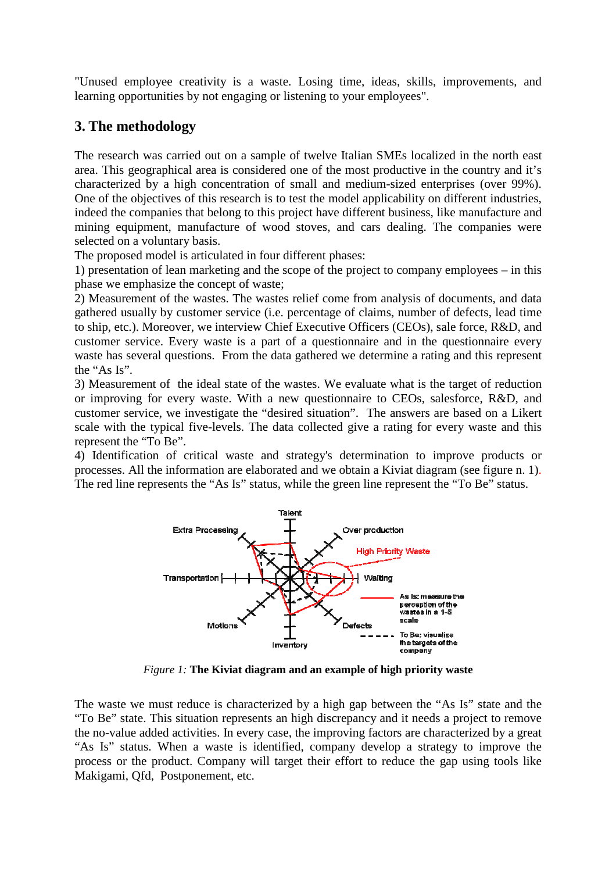"Unused employee creativity is a waste. Losing time, ideas, skills, improvements, and learning opportunities by not engaging or listening to your employees".

## **3. The methodology**

The research was carried out on a sample of twelve Italian SMEs localized in the north east area. This geographical area is considered one of the most productive in the country and it's characterized by a high concentration of small and medium-sized enterprises (over 99%). One of the objectives of this research is to test the model applicability on different industries, indeed the companies that belong to this project have different business, like manufacture and mining equipment, manufacture of wood stoves, and cars dealing. The companies were selected on a voluntary basis.

The proposed model is articulated in four different phases:

1) presentation of lean marketing and the scope of the project to company employees – in this phase we emphasize the concept of waste;

2) Measurement of the wastes. The wastes relief come from analysis of documents, and data gathered usually by customer service (i.e. percentage of claims, number of defects, lead time to ship, etc.). Moreover, we interview Chief Executive Officers (CEOs), sale force, R&D, and customer service. Every waste is a part of a questionnaire and in the questionnaire every waste has several questions. From the data gathered we determine a rating and this represent the "As Is".

3) Measurement of the ideal state of the wastes. We evaluate what is the target of reduction or improving for every waste. With a new questionnaire to CEOs, salesforce, R&D, and customer service, we investigate the "desired situation". The answers are based on a Likert scale with the typical five-levels. The data collected give a rating for every waste and this represent the "To Be".

4) Identification of critical waste and strategy's determination to improve products or processes. All the information are elaborated and we obtain a Kiviat diagram (see figure n. 1). The red line represents the "As Is" status, while the green line represent the "To Be" status.



*Figure 1:* **The Kiviat diagram and an example of high priority waste**

The waste we must reduce is characterized by a high gap between the "As Is" state and the "To Be" state. This situation represents an high discrepancy and it needs a project to remove the no-value added activities. In every case, the improving factors are characterized by a great "As Is" status. When a waste is identified, company develop a strategy to improve the process or the product. Company will target their effort to reduce the gap using tools like Makigami, Qfd, Postponement, etc.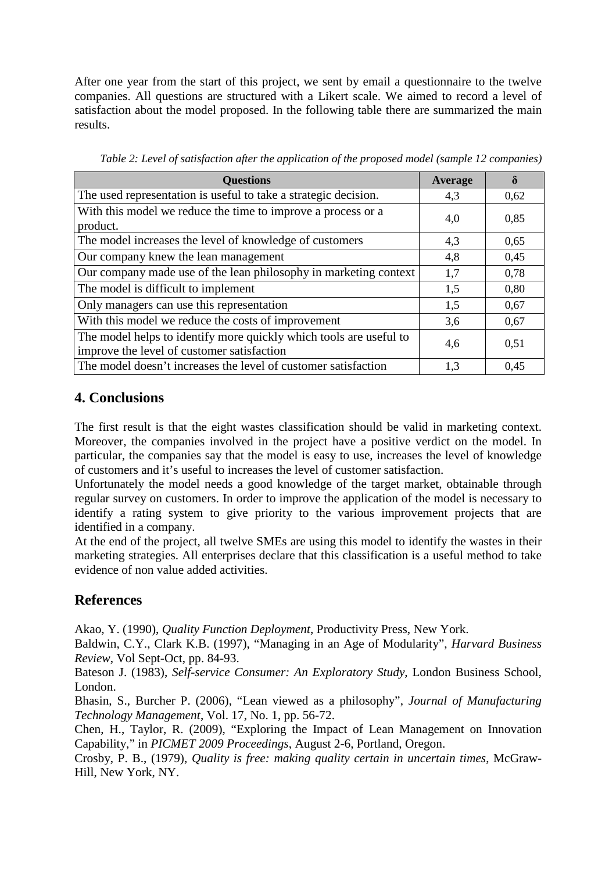After one year from the start of this project, we sent by email a questionnaire to the twelve companies. All questions are structured with a Likert scale. We aimed to record a level of satisfaction about the model proposed. In the following table there are summarized the main results.

| <b>Questions</b>                                                                                                 | <b>Average</b> | $\delta$ |
|------------------------------------------------------------------------------------------------------------------|----------------|----------|
| The used representation is useful to take a strategic decision.                                                  | 4,3            | 0,62     |
| With this model we reduce the time to improve a process or a<br>product.                                         | 4,0            | 0,85     |
| The model increases the level of knowledge of customers                                                          | 4.3            | 0,65     |
| Our company knew the lean management                                                                             | 4,8            | 0,45     |
| Our company made use of the lean philosophy in marketing context                                                 | 1,7            | 0,78     |
| The model is difficult to implement                                                                              | 1.5            | 0,80     |
| Only managers can use this representation                                                                        | 1,5            | 0,67     |
| With this model we reduce the costs of improvement                                                               | 3,6            | 0,67     |
| The model helps to identify more quickly which tools are useful to<br>improve the level of customer satisfaction | 4,6            | 0,51     |
| The model doesn't increases the level of customer satisfaction                                                   | 1,3            | 0.45     |

*Table 2: Level of satisfaction after the application of the proposed model (sample 12 companies)* 

## **4. Conclusions**

The first result is that the eight wastes classification should be valid in marketing context. Moreover, the companies involved in the project have a positive verdict on the model. In particular, the companies say that the model is easy to use, increases the level of knowledge of customers and it's useful to increases the level of customer satisfaction.

Unfortunately the model needs a good knowledge of the target market, obtainable through regular survey on customers. In order to improve the application of the model is necessary to identify a rating system to give priority to the various improvement projects that are identified in a company.

At the end of the project, all twelve SMEs are using this model to identify the wastes in their marketing strategies. All enterprises declare that this classification is a useful method to take evidence of non value added activities.

# **References**

Akao, Y. (1990), *Quality Function Deployment*, Productivity Press, New York.

Baldwin, C.Y., Clark K.B. (1997), "Managing in an Age of Modularity", *Harvard Business Review*, Vol Sept-Oct, pp. 84-93.

Bateson J. (1983), *Self-service Consumer: An Exploratory Study*, London Business School, London.

Bhasin, S., Burcher P. (2006), "Lean viewed as a philosophy", *Journal of Manufacturing Technology Management*, Vol. 17, No. 1, pp. 56-72.

Chen, H., Taylor, R. (2009), "Exploring the Impact of Lean Management on Innovation Capability," in *PICMET 2009 Proceedings*, August 2-6, Portland, Oregon.

Crosby, P. B., (1979), *Quality is free: making quality certain in uncertain times*, McGraw-Hill, New York, NY.